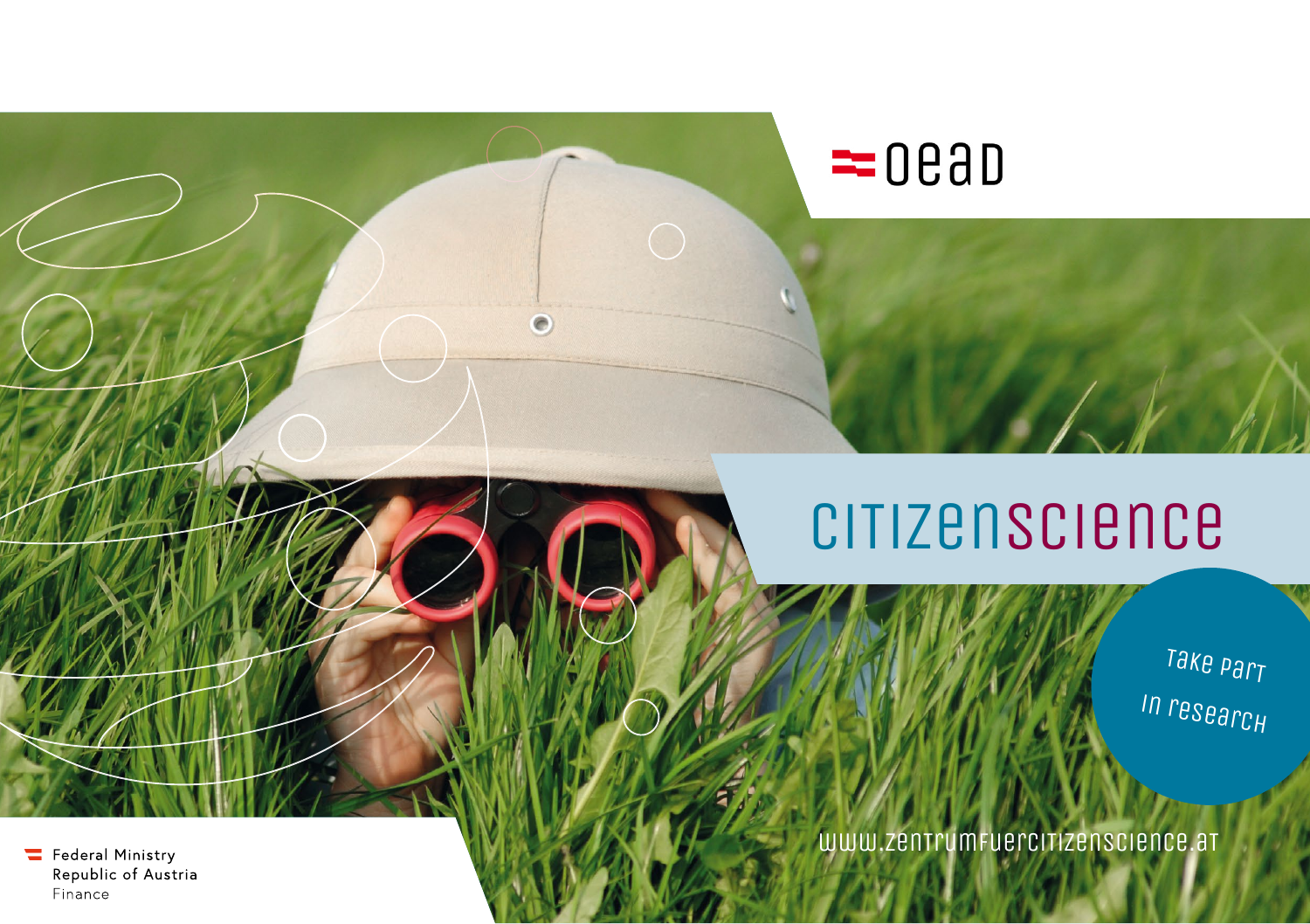

 $= 000$ 

Take part in research

www.zentrumFuerciTizenscience.at

Federal Ministry Republic of Austria Finance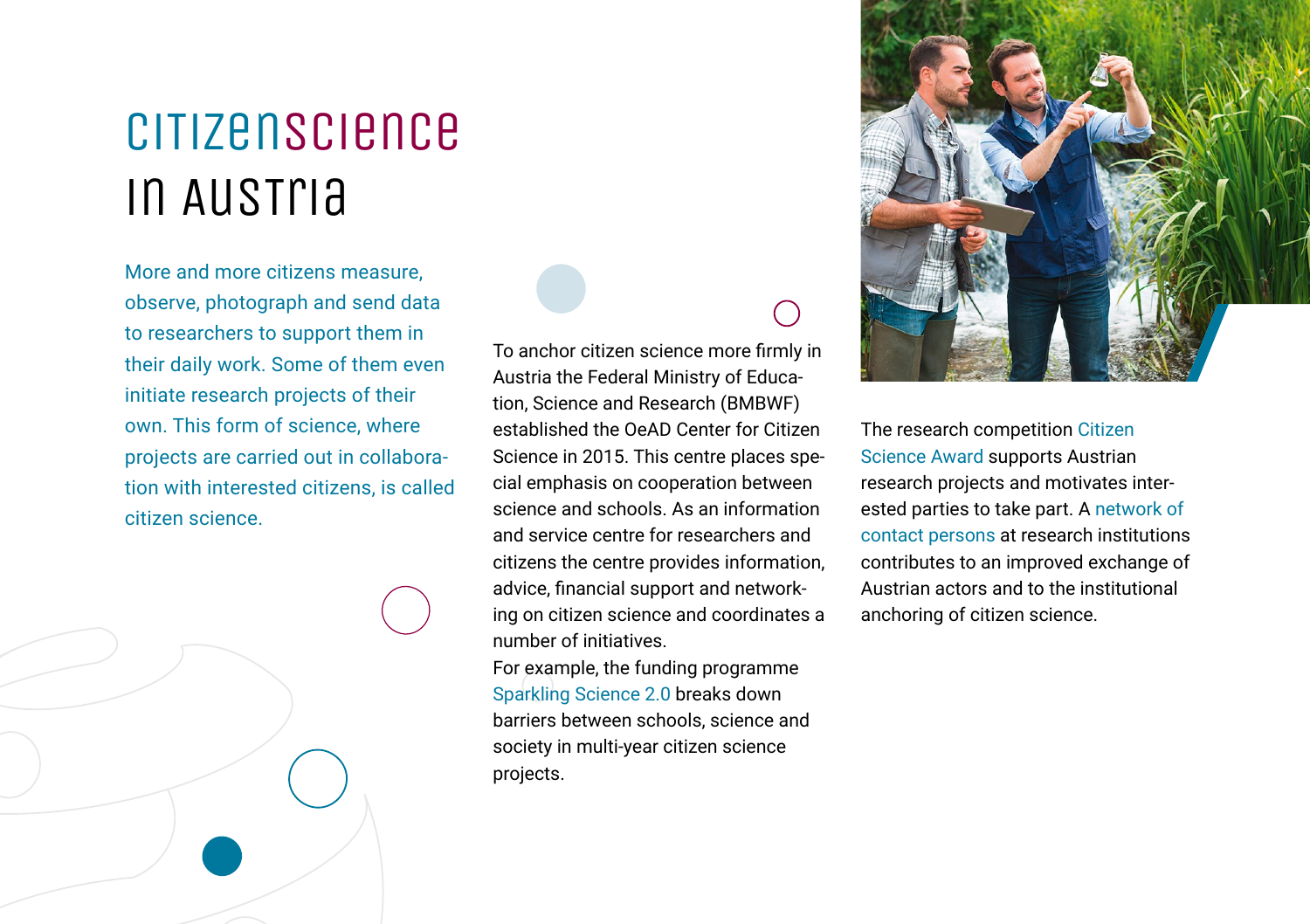# CiTizenScience in AusTria

More and more citizens measure, observe, photograph and send data to researchers to support them in their daily work. Some of them even initiate research projects of their own. This form of science, where projects are carried out in collaboration with interested citizens, is called citizen science.

To anchor citizen science more firmly in Austria the Federal Ministry of Education, Science and Research (BMBWF) established the OeAD Center for Citizen Science in 2015. This centre places special emphasis on cooperation between science and schools. As an information and service centre for researchers and citizens the centre provides information, advice, financial support and networking on citizen science and coordinates a number of initiatives.

For example, the funding programme Sparkling Science 2.0 breaks down barriers between schools, science and society in multi-year citizen science projects.



The research competition Citizen Science Award supports Austrian research projects and motivates interested parties to take part. A network of contact persons at research institutions contributes to an improved exchange of Austrian actors and to the institutional anchoring of citizen science.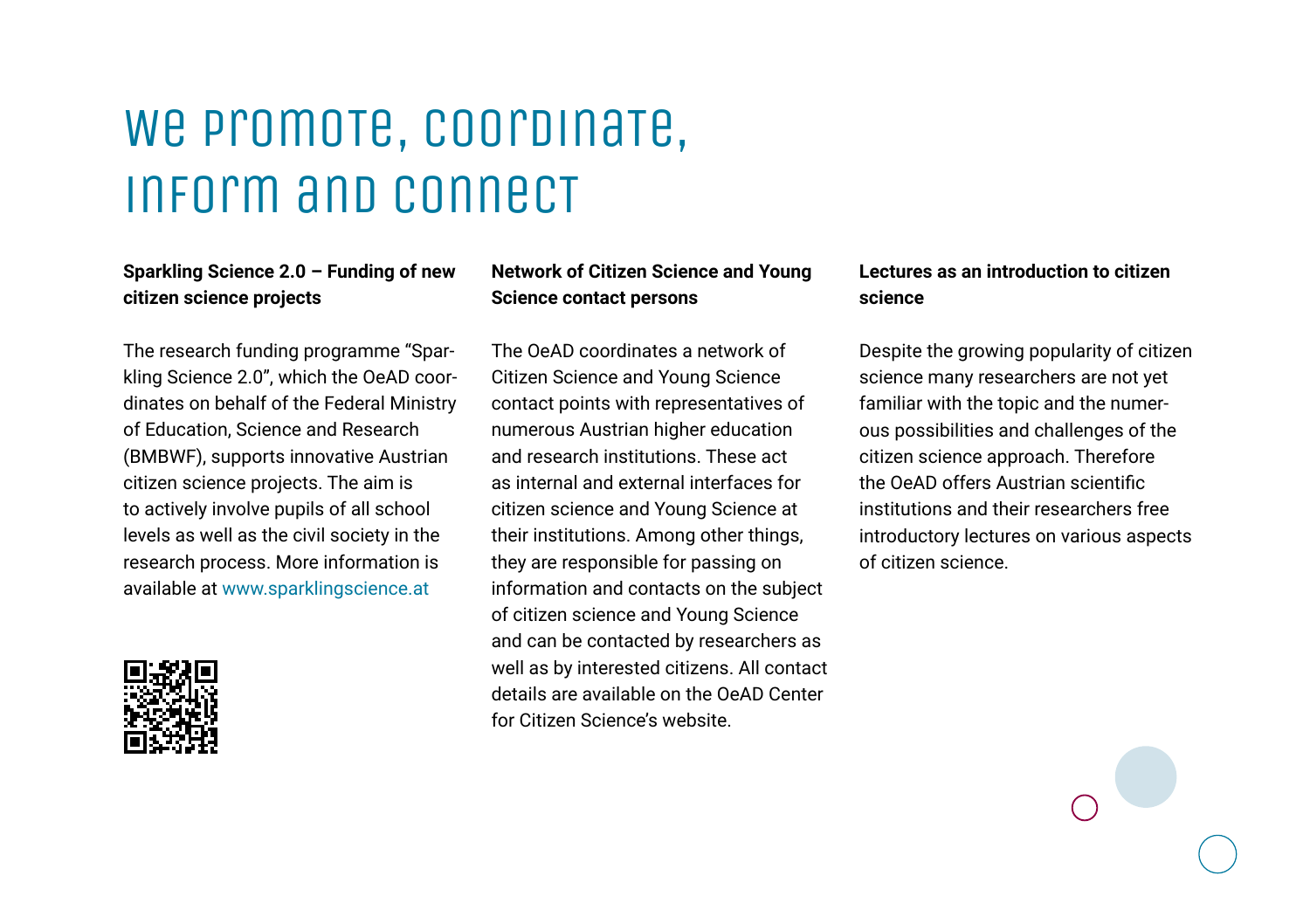# We promote, coordinate. inform and connecT

#### **Sparkling Science 2.0 – Funding of new citizen science projects**

The research funding programme "Sparkling Science 2.0", which the OeAD coordinates on behalf of the Federal Ministry of Education, Science and Research (BMBWF), supports innovative Austrian citizen science projects. The aim is to actively involve pupils of all school levels as well as the civil society in the research process. More information is available at [www.sparklingscience.at](https://www.sparklingscience.at/)



#### **Network of Citizen Science and Young Science contact persons**

The OeAD coordinates a network of Citizen Science and Young Science contact points with representatives of numerous Austrian higher education and research institutions. These act as internal and external interfaces for citizen science and Young Science at their institutions. Among other things, they are responsible for passing on information and contacts on the subject of citizen science and Young Science and can be contacted by researchers as well as by interested citizens. All contact details are available on the OeAD Center for Citizen Science's website.

#### **Lectures as an introduction to citizen science**

Despite the growing popularity of citizen science many researchers are not yet familiar with the topic and the numerous possibilities and challenges of the citizen science approach. Therefore the OeAD offers Austrian scientific institutions and their researchers free introductory lectures on various aspects of citizen science.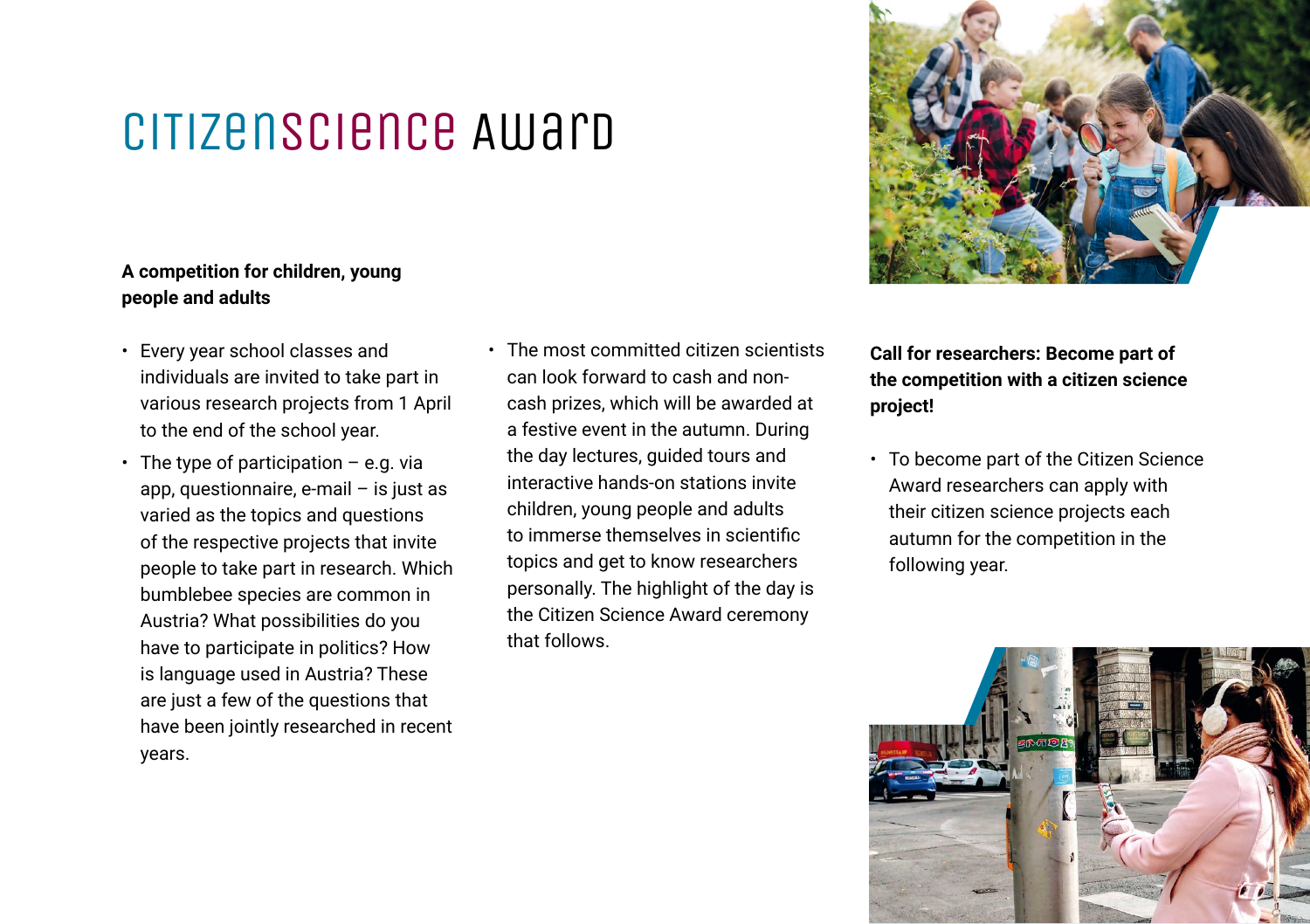### CiTizenScience Award

#### **A competition for children, young people and adults**

- Every year school classes and individuals are invited to take part in various research projects from 1 April to the end of the school year.
- The type of participation  $-$  e.g. via app, questionnaire, e-mail – is just as varied as the topics and questions of the respective projects that invite people to take part in research. Which bumblebee species are common in Austria? What possibilities do you have to participate in politics? How is language used in Austria? These are just a few of the questions that have been jointly researched in recent years.
- The most committed citizen scientists can look forward to cash and noncash prizes, which will be awarded at a festive event in the autumn. During the day lectures, guided tours and interactive hands-on stations invite children, young people and adults to immerse themselves in scientific topics and get to know researchers personally. The highlight of the day is the Citizen Science Award ceremony that follows.



**Call for researchers: Become part of the competition with a citizen science project!**

• To become part of the Citizen Science Award researchers can apply with their citizen science projects each autumn for the competition in the following year.

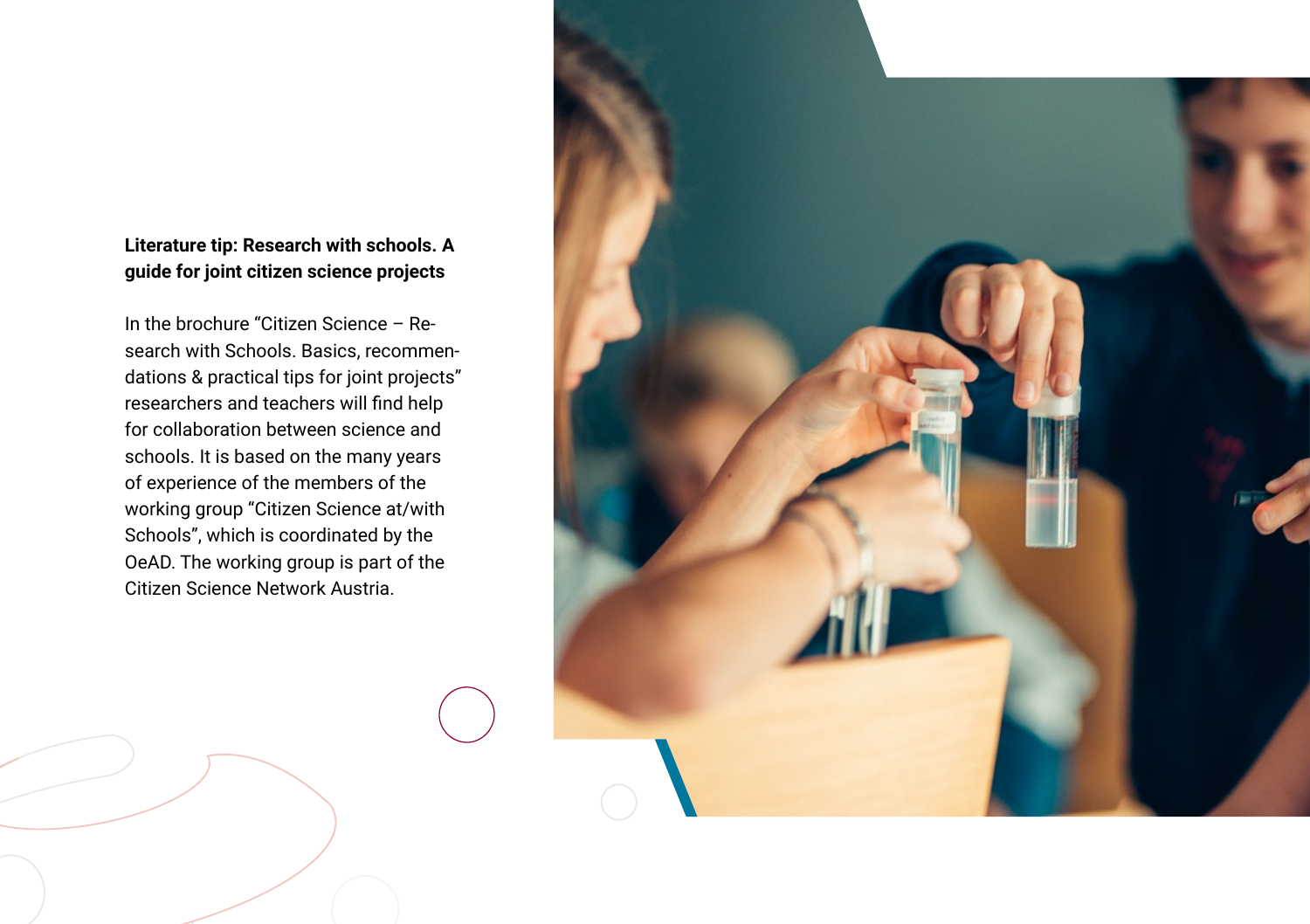#### **Literature tip: Research with schools. A guide for joint citizen science projects**

In the brochure "Citizen Science – Research with Schools. Basics, recommendations & practical tips for joint projects" researchers and teachers will find help for collaboration between science and schools. It is based on the many years of experience of the members of the working group "Citizen Science at/with Schools", which is coordinated by the OeAD. The working group is part of the Citizen Science Network Austria.